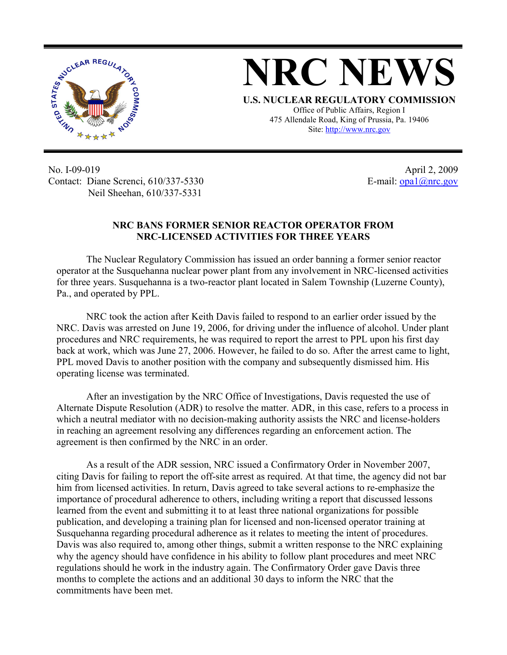

## **NRC NEWS**

**U.S. NUCLEAR REGULATORY COMMISSION** Office of Public Affairs, Region I 475 Allendale Road, King of Prussia, Pa. 19406 Site: http://www.nrc.gov

No. I-09-019 Contact: Diane Screnci, 610/337-5330 Neil Sheehan, 610/337-5331

April 2, 2009 E-mail: opa1@nrc.gov

## **NRC BANS FORMER SENIOR REACTOR OPERATOR FROM NRC-LICENSED ACTIVITIES FOR THREE YEARS**

 The Nuclear Regulatory Commission has issued an order banning a former senior reactor operator at the Susquehanna nuclear power plant from any involvement in NRC-licensed activities for three years. Susquehanna is a two-reactor plant located in Salem Township (Luzerne County), Pa., and operated by PPL.

 NRC took the action after Keith Davis failed to respond to an earlier order issued by the NRC. Davis was arrested on June 19, 2006, for driving under the influence of alcohol. Under plant procedures and NRC requirements, he was required to report the arrest to PPL upon his first day back at work, which was June 27, 2006. However, he failed to do so. After the arrest came to light, PPL moved Davis to another position with the company and subsequently dismissed him. His operating license was terminated.

 After an investigation by the NRC Office of Investigations, Davis requested the use of Alternate Dispute Resolution (ADR) to resolve the matter. ADR, in this case, refers to a process in which a neutral mediator with no decision-making authority assists the NRC and license-holders in reaching an agreement resolving any differences regarding an enforcement action. The agreement is then confirmed by the NRC in an order.

 As a result of the ADR session, NRC issued a Confirmatory Order in November 2007, citing Davis for failing to report the off-site arrest as required. At that time, the agency did not bar him from licensed activities. In return, Davis agreed to take several actions to re-emphasize the importance of procedural adherence to others, including writing a report that discussed lessons learned from the event and submitting it to at least three national organizations for possible publication, and developing a training plan for licensed and non-licensed operator training at Susquehanna regarding procedural adherence as it relates to meeting the intent of procedures. Davis was also required to, among other things, submit a written response to the NRC explaining why the agency should have confidence in his ability to follow plant procedures and meet NRC regulations should he work in the industry again. The Confirmatory Order gave Davis three months to complete the actions and an additional 30 days to inform the NRC that the commitments have been met.